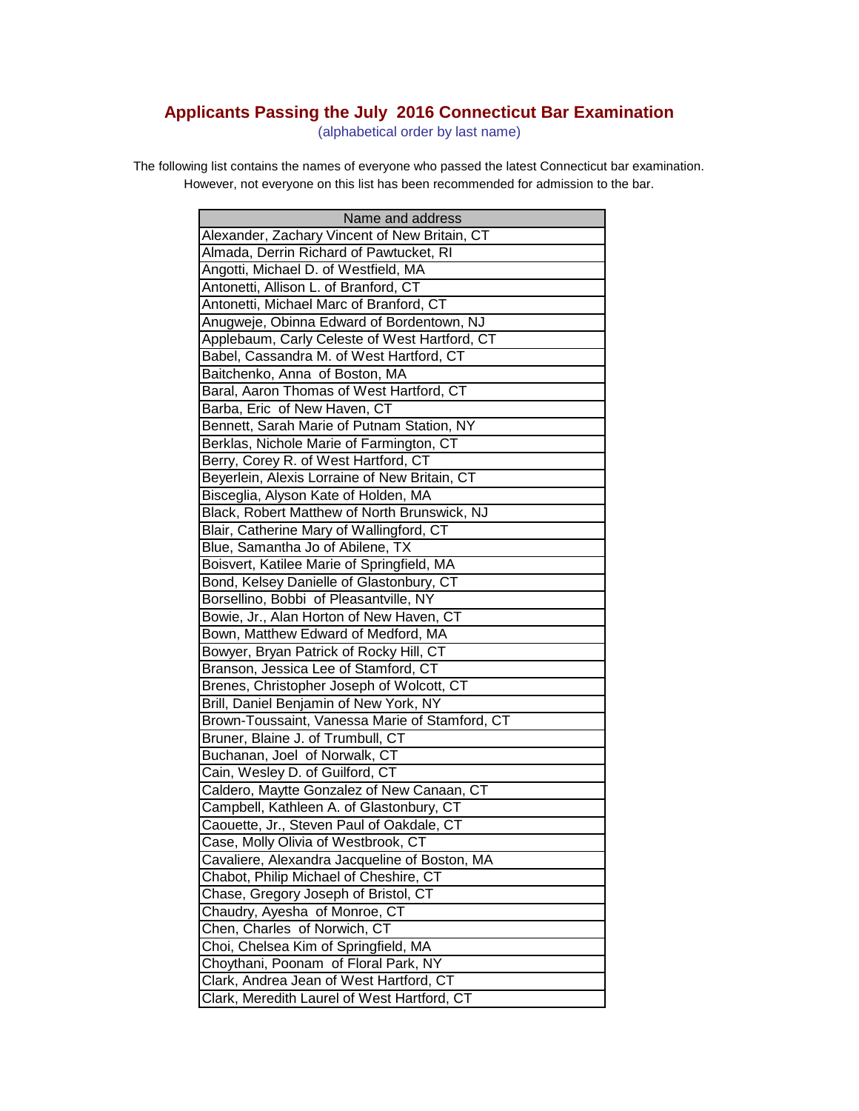## **Applicants Passing the July 2016 Connecticut Bar Examination**

(alphabetical order by last name)

The following list contains the names of everyone who passed the latest Connecticut bar examination. However, not everyone on this list has been recommended for admission to the bar.

| Name and address                               |
|------------------------------------------------|
| Alexander, Zachary Vincent of New Britain, CT  |
| Almada, Derrin Richard of Pawtucket, RI        |
| Angotti, Michael D. of Westfield, MA           |
| Antonetti, Allison L. of Branford, CT          |
| Antonetti, Michael Marc of Branford, CT        |
| Anugweje, Obinna Edward of Bordentown, NJ      |
| Applebaum, Carly Celeste of West Hartford, CT  |
| Babel, Cassandra M. of West Hartford, CT       |
| Baitchenko, Anna of Boston, MA                 |
| Baral, Aaron Thomas of West Hartford, CT       |
| Barba, Eric of New Haven, CT                   |
| Bennett, Sarah Marie of Putnam Station, NY     |
| Berklas, Nichole Marie of Farmington, CT       |
| Berry, Corey R. of West Hartford, CT           |
| Beyerlein, Alexis Lorraine of New Britain, CT  |
| Bisceglia, Alyson Kate of Holden, MA           |
| Black, Robert Matthew of North Brunswick, NJ   |
| Blair, Catherine Mary of Wallingford, CT       |
| Blue, Samantha Jo of Abilene, TX               |
| Boisvert, Katilee Marie of Springfield, MA     |
| Bond, Kelsey Danielle of Glastonbury, CT       |
| Borsellino, Bobbi of Pleasantville, NY         |
| Bowie, Jr., Alan Horton of New Haven, CT       |
| Bown, Matthew Edward of Medford, MA            |
| Bowyer, Bryan Patrick of Rocky Hill, CT        |
| Branson, Jessica Lee of Stamford, CT           |
| Brenes, Christopher Joseph of Wolcott, CT      |
| Brill, Daniel Benjamin of New York, NY         |
| Brown-Toussaint, Vanessa Marie of Stamford, CT |
| Bruner, Blaine J. of Trumbull, CT              |
| Buchanan, Joel of Norwalk, CT                  |
| Cain, Wesley D. of Guilford, CT                |
| Caldero, Maytte Gonzalez of New Canaan, CT     |
| Campbell, Kathleen A. of Glastonbury, CT       |
| Caouette, Jr., Steven Paul of Oakdale, CT      |
| Case, Molly Olivia of Westbrook, CT            |
| Cavaliere, Alexandra Jacqueline of Boston, MA  |
| Chabot, Philip Michael of Cheshire, CT         |
| Chase, Gregory Joseph of Bristol, CT           |
| Chaudry, Ayesha of Monroe, CT                  |
| Chen, Charles of Norwich, CT                   |
| Choi, Chelsea Kim of Springfield, MA           |
| Choythani, Poonam of Floral Park, NY           |
| Clark, Andrea Jean of West Hartford, CT        |
| Clark, Meredith Laurel of West Hartford, CT    |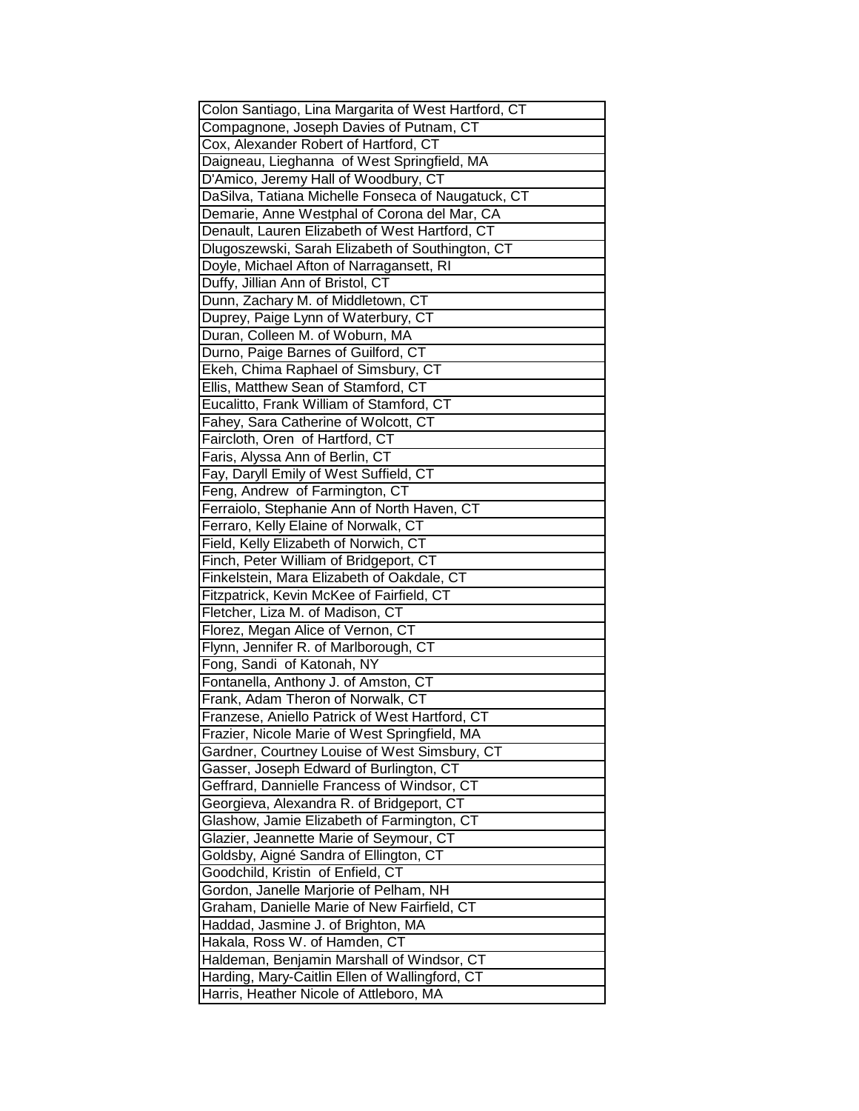| Colon Santiago, Lina Margarita of West Hartford, CT |
|-----------------------------------------------------|
| Compagnone, Joseph Davies of Putnam, CT             |
| Cox, Alexander Robert of Hartford, CT               |
| Daigneau, Lieghanna of West Springfield, MA         |
| D'Amico, Jeremy Hall of Woodbury, CT                |
| DaSilva, Tatiana Michelle Fonseca of Naugatuck, CT  |
| Demarie, Anne Westphal of Corona del Mar, CA        |
| Denault, Lauren Elizabeth of West Hartford, CT      |
| Dlugoszewski, Sarah Elizabeth of Southington, CT    |
| Doyle, Michael Afton of Narragansett, RI            |
| Duffy, Jillian Ann of Bristol, CT                   |
| Dunn, Zachary M. of Middletown, CT                  |
| Duprey, Paige Lynn of Waterbury, CT                 |
| Duran, Colleen M. of Woburn, MA                     |
| Durno, Paige Barnes of Guilford, CT                 |
| Ekeh, Chima Raphael of Simsbury, CT                 |
| Ellis, Matthew Sean of Stamford, CT                 |
| Eucalitto, Frank William of Stamford, CT            |
| Fahey, Sara Catherine of Wolcott, CT                |
| Faircloth, Oren of Hartford, CT                     |
| Faris, Alyssa Ann of Berlin, CT                     |
| Fay, Daryll Emily of West Suffield, CT              |
| Feng, Andrew of Farmington, CT                      |
| Ferraiolo, Stephanie Ann of North Haven, CT         |
| Ferraro, Kelly Elaine of Norwalk, CT                |
| Field, Kelly Elizabeth of Norwich, CT               |
| Finch, Peter William of Bridgeport, CT              |
| Finkelstein, Mara Elizabeth of Oakdale, CT          |
| Fitzpatrick, Kevin McKee of Fairfield, CT           |
| Fletcher, Liza M. of Madison, CT                    |
| Florez, Megan Alice of Vernon, CT                   |
| Flynn, Jennifer R. of Marlborough, CT               |
| Fong, Sandi of Katonah, NY                          |
| Fontanella, Anthony J. of Amston, CT                |
| Frank, Adam Theron of Norwalk, CT                   |
| Franzese, Aniello Patrick of West Hartford, CT      |
| Frazier, Nicole Marie of West Springfield, MA       |
| Gardner, Courtney Louise of West Simsbury, CT       |
| Gasser, Joseph Edward of Burlington, CT             |
| Geffrard, Dannielle Francess of Windsor, CT         |
| Georgieva, Alexandra R. of Bridgeport, CT           |
| Glashow, Jamie Elizabeth of Farmington, CT          |
| Glazier, Jeannette Marie of Seymour, CT             |
| Goldsby, Aigné Sandra of Ellington, CT              |
| Goodchild, Kristin of Enfield, CT                   |
| Gordon, Janelle Marjorie of Pelham, NH              |
| Graham, Danielle Marie of New Fairfield, CT         |
| Haddad, Jasmine J. of Brighton, MA                  |
| Hakala, Ross W. of Hamden, CT                       |
| Haldeman, Benjamin Marshall of Windsor, CT          |
| Harding, Mary-Caitlin Ellen of Wallingford, CT      |
| Harris, Heather Nicole of Attleboro, MA             |
|                                                     |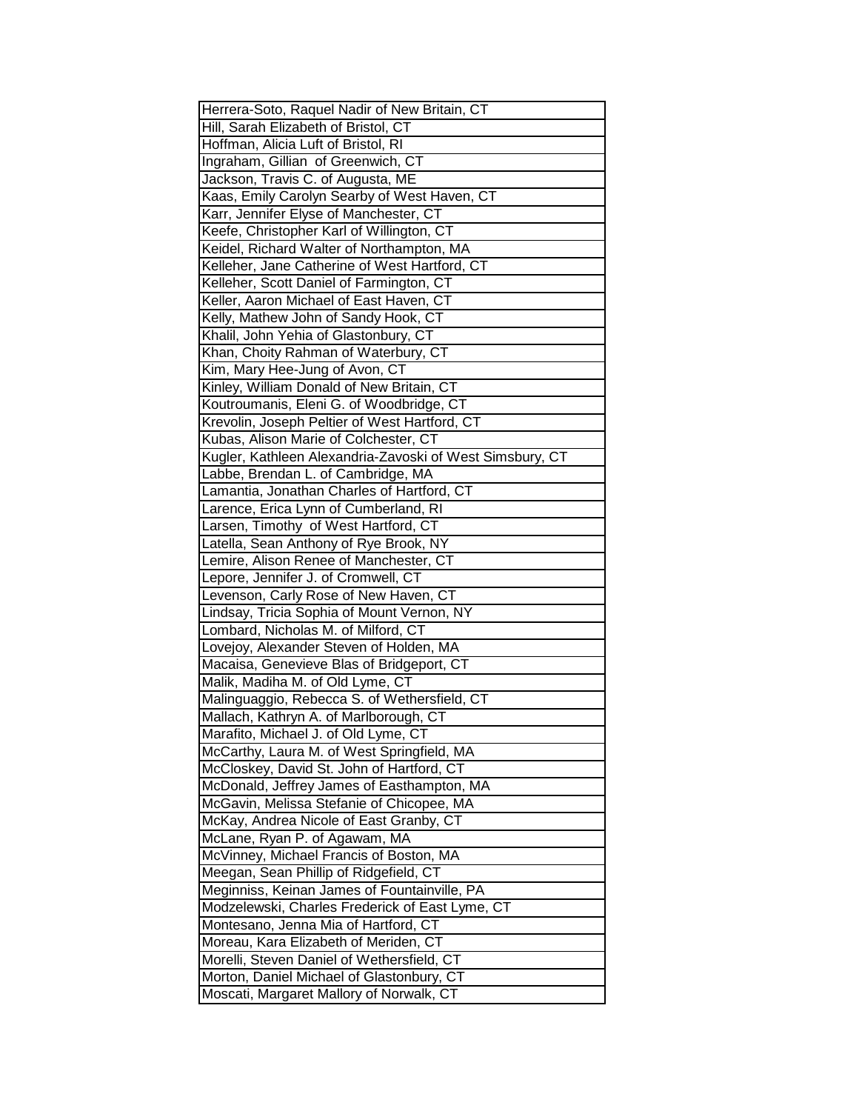| Herrera-Soto, Raquel Nadir of New Britain, CT            |
|----------------------------------------------------------|
| Hill, Sarah Elizabeth of Bristol, CT                     |
| Hoffman, Alicia Luft of Bristol, RI                      |
| Ingraham, Gillian of Greenwich, CT                       |
| Jackson, Travis C. of Augusta, ME                        |
| Kaas, Emily Carolyn Searby of West Haven, CT             |
| Karr, Jennifer Elyse of Manchester, CT                   |
| Keefe, Christopher Karl of Willington, CT                |
| Keidel, Richard Walter of Northampton, MA                |
| Kelleher, Jane Catherine of West Hartford, CT            |
| Kelleher, Scott Daniel of Farmington, CT                 |
| Keller, Aaron Michael of East Haven, CT                  |
| Kelly, Mathew John of Sandy Hook, CT                     |
| Khalil, John Yehia of Glastonbury, CT                    |
| Khan, Choity Rahman of Waterbury, CT                     |
| Kim, Mary Hee-Jung of Avon, CT                           |
| Kinley, William Donald of New Britain, CT                |
| Koutroumanis, Eleni G. of Woodbridge, CT                 |
| Krevolin, Joseph Peltier of West Hartford, CT            |
| Kubas, Alison Marie of Colchester, CT                    |
| Kugler, Kathleen Alexandria-Zavoski of West Simsbury, CT |
| Labbe, Brendan L. of Cambridge, MA                       |
| Lamantia, Jonathan Charles of Hartford, CT               |
| Larence, Erica Lynn of Cumberland, RI                    |
| Larsen, Timothy of West Hartford, CT                     |
| Latella, Sean Anthony of Rye Brook, NY                   |
| Lemire, Alison Renee of Manchester, CT                   |
| Lepore, Jennifer J. of Cromwell, CT                      |
| Levenson, Carly Rose of New Haven, CT                    |
| Lindsay, Tricia Sophia of Mount Vernon, NY               |
| Lombard, Nicholas M. of Milford, CT                      |
| Lovejoy, Alexander Steven of Holden, MA                  |
| Macaisa, Genevieve Blas of Bridgeport, CT                |
| Malik, Madiha M. of Old Lyme, CT                         |
| Malinguaggio, Rebecca S. of Wethersfield, CT             |
| Mallach, Kathryn A. of Marlborough, CT                   |
| Marafito, Michael J. of Old Lyme, CT                     |
| McCarthy, Laura M. of West Springfield, MA               |
| McCloskey, David St. John of Hartford, CT                |
| McDonald, Jeffrey James of Easthampton, MA               |
| McGavin, Melissa Stefanie of Chicopee, MA                |
| McKay, Andrea Nicole of East Granby, CT                  |
| McLane, Ryan P. of Agawam, MA                            |
| McVinney, Michael Francis of Boston, MA                  |
| Meegan, Sean Phillip of Ridgefield, CT                   |
| Meginniss, Keinan James of Fountainville, PA             |
| Modzelewski, Charles Frederick of East Lyme, CT          |
| Montesano, Jenna Mia of Hartford, CT                     |
| Moreau, Kara Elizabeth of Meriden, CT                    |
| Morelli, Steven Daniel of Wethersfield, CT               |
| Morton, Daniel Michael of Glastonbury, CT                |
| Moscati, Margaret Mallory of Norwalk, CT                 |
|                                                          |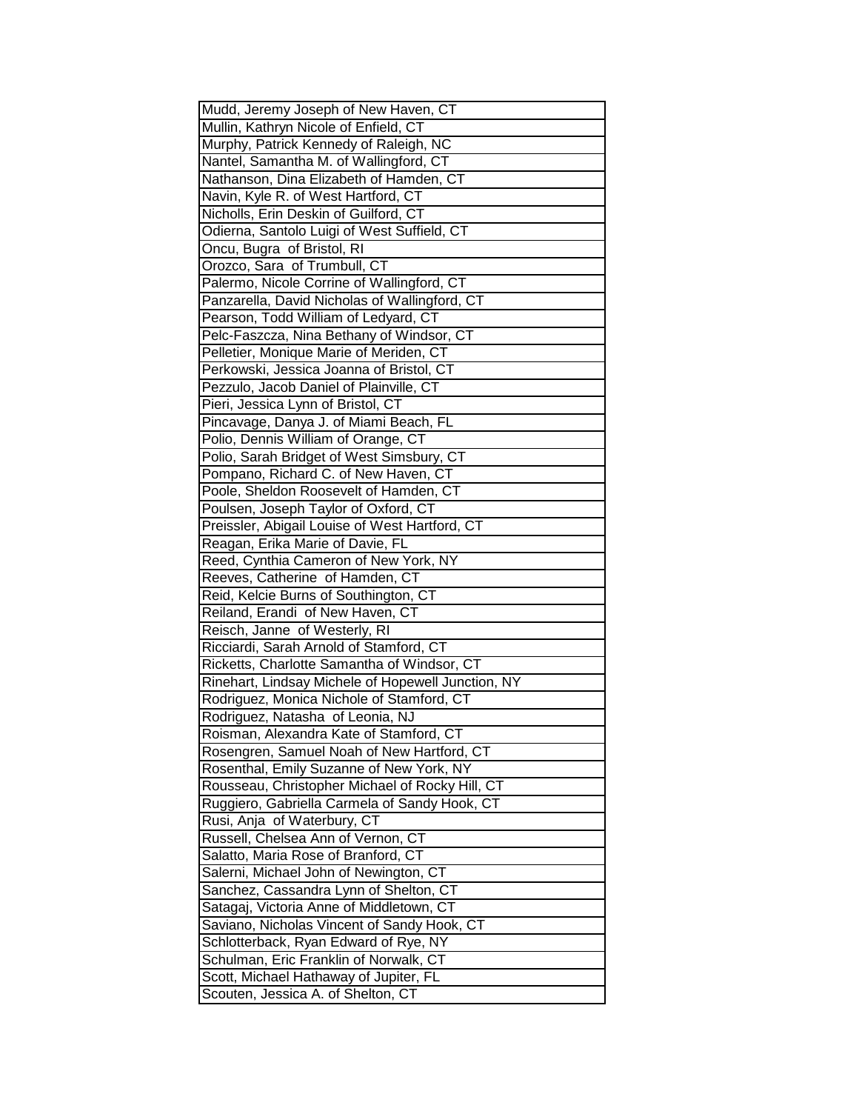| Mudd, Jeremy Joseph of New Haven, CT                                         |
|------------------------------------------------------------------------------|
| Mullin, Kathryn Nicole of Enfield, CT                                        |
| Murphy, Patrick Kennedy of Raleigh, NC                                       |
| Nantel, Samantha M. of Wallingford, CT                                       |
| Nathanson, Dina Elizabeth of Hamden, CT                                      |
| Navin, Kyle R. of West Hartford, CT                                          |
| Nicholls, Erin Deskin of Guilford, CT                                        |
| Odierna, Santolo Luigi of West Suffield, CT                                  |
| Oncu, Bugra of Bristol, RI                                                   |
| Orozco, Sara of Trumbull, CT                                                 |
| Palermo, Nicole Corrine of Wallingford, CT                                   |
| Panzarella, David Nicholas of Wallingford, CT                                |
| Pearson, Todd William of Ledyard, CT                                         |
| Pelc-Faszcza, Nina Bethany of Windsor, CT                                    |
| Pelletier, Monique Marie of Meriden, CT                                      |
| Perkowski, Jessica Joanna of Bristol, CT                                     |
| Pezzulo, Jacob Daniel of Plainville, CT                                      |
| Pieri, Jessica Lynn of Bristol, CT                                           |
| Pincavage, Danya J. of Miami Beach, FL                                       |
| Polio, Dennis William of Orange, CT                                          |
| Polio, Sarah Bridget of West Simsbury, CT                                    |
| Pompano, Richard C. of New Haven, CT                                         |
| Poole, Sheldon Roosevelt of Hamden, CT                                       |
| Poulsen, Joseph Taylor of Oxford, CT                                         |
| Preissler, Abigail Louise of West Hartford, CT                               |
| Reagan, Erika Marie of Davie, FL                                             |
| Reed, Cynthia Cameron of New York, NY                                        |
| Reeves, Catherine of Hamden, CT                                              |
| Reid, Kelcie Burns of Southington, CT                                        |
| Reiland, Erandi of New Haven, CT                                             |
| Reisch, Janne of Westerly, RI                                                |
| Ricciardi, Sarah Arnold of Stamford, CT                                      |
| Ricketts, Charlotte Samantha of Windsor, CT                                  |
| Rinehart, Lindsay Michele of Hopewell Junction, NY                           |
| Rodriguez, Monica Nichole of Stamford, CT                                    |
| Rodriguez, Natasha of Leonia, NJ                                             |
| Roisman, Alexandra Kate of Stamford, CT                                      |
| Rosengren, Samuel Noah of New Hartford, CT                                   |
| Rosenthal, Emily Suzanne of New York, NY                                     |
| Rousseau, Christopher Michael of Rocky Hill, CT                              |
| Ruggiero, Gabriella Carmela of Sandy Hook, CT                                |
| Rusi, Anja of Waterbury, CT                                                  |
| Russell, Chelsea Ann of Vernon, CT                                           |
| Salatto, Maria Rose of Branford, CT                                          |
| Salerni, Michael John of Newington, CT                                       |
| Sanchez, Cassandra Lynn of Shelton, CT                                       |
| Satagaj, Victoria Anne of Middletown, CT                                     |
| Saviano, Nicholas Vincent of Sandy Hook, CT                                  |
| Schlotterback, Ryan Edward of Rye, NY                                        |
| Schulman, Eric Franklin of Norwalk, CT                                       |
|                                                                              |
| Scott, Michael Hathaway of Jupiter, FL<br>Scouten, Jessica A. of Shelton, CT |